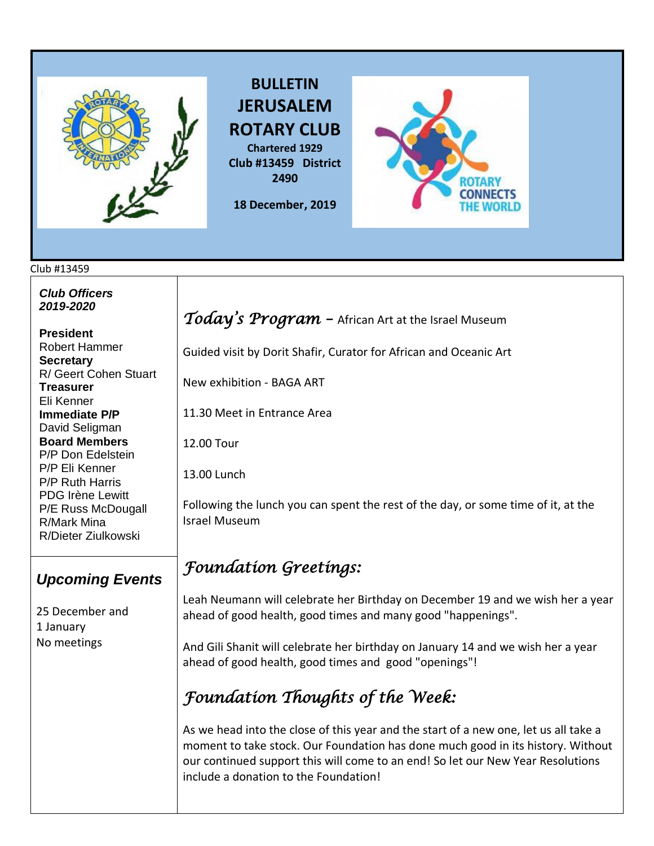

**BULLETIN JERUSALEM ROTARY CLUB Chartered 1929 Club #13459 District 2490**

**18 December, 2019** 



#### Club #13459

*Club Officers 2019-2020*

**President**  Robert Hammer **Secretary**  R/ Geert Cohen Stuart **Treasurer**  Eli Kenner **Immediate P/P** David Seligman **Board Members**  P/P Don Edelstein P/P Eli Kenner P/P Ruth Harris PDG Irène Lewitt P/E Russ McDougall R/Mark Mina R/Dieter Ziulkowski

#### *Upcoming Events*

25 December and 1 January No meetings

### *Today's Program –* African Art at the Israel Museum

Guided visit by Dorit Shafir, Curator for African and Oceanic Art

New exhibition - BAGA ART

11.30 Meet in Entrance Area

12.00 Tour

13.00 Lunch

Following the lunch you can spent the rest of the day, or some time of it, at the Israel Museum

## *Foundation Greetings:*

Leah Neumann will celebrate her Birthday on December 19 and we wish her a year ahead of good health, good times and many good "happenings".

And Gili Shanit will celebrate her birthday on January 14 and we wish her a year ahead of good health, good times and good "openings"!

## *Foundation Thoughts of the Week:*

As we head into the close of this year and the start of a new one, let us all take a moment to take stock. Our Foundation has done much good in its history. Without our continued support this will come to an end! So let our New Year Resolutions include a donation to the Foundation!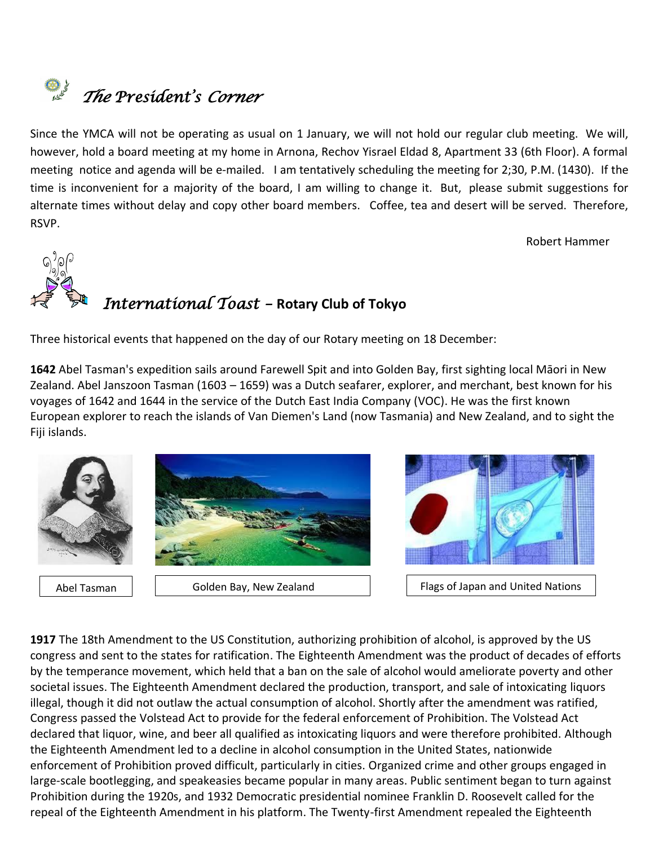# *The President's Corner*

Since the YMCA will not be operating as usual on 1 January, we will not hold our regular club meeting. We will, however, hold a board meeting at my home in Arnona, Rechov Yisrael Eldad 8, Apartment 33 (6th Floor). A formal meeting notice and agenda will be e-mailed. I am tentatively scheduling the meeting for 2;30, P.M. (1430). If the time is inconvenient for a majority of the board, I am willing to change it. But, please submit suggestions for alternate times without delay and copy other board members. Coffee, tea and desert will be served. Therefore, RSVP.

Robert Hammer



## *International Toast –* **Rotary Club of Tokyo**

Three historical events that happened on the day of our Rotary meeting on 18 December:

**[1642](https://www.onthisday.com/events/date/1642)** [Abel Tasman](https://www.onthisday.com/people/abel-tasman)'s expedition sails around Farewell Spit and into Golden Bay, first sighting local Māori in New Zealand. Abel Janszoon Tasman (1603 – 1659) was a [Dutch](https://en.wikipedia.org/wiki/Dutch_Republic) [seafarer,](https://en.wikipedia.org/wiki/Sea_explorer) [explorer,](https://en.wikipedia.org/wiki/Exploration) and [merchant,](https://en.wikipedia.org/wiki/Merchant) best known for his voyages of 1642 and 1644 in the service of the [Dutch East India Company](https://en.wikipedia.org/wiki/Dutch_East_India_Company) (VOC). He was the first known European explorer to reach the islands of [Van Diemen's Land](https://en.wikipedia.org/wiki/Van_Diemen%27s_Land) (now [Tasmania\)](https://en.wikipedia.org/wiki/Tasmania) and [New Zealand,](https://en.wikipedia.org/wiki/New_Zealand) and to sight the [Fiji](https://en.wikipedia.org/wiki/Fiji) islands.



**[1917](https://www.onthisday.com/events/date/1917)** The 18th Amendment to the US Constitution, authorizing prohibition of alcohol, is approved by the US congress and sent to the states for ratification. The Eighteenth Amendment was the product of decades of efforts by the [temperance movement,](https://en.wikipedia.org/wiki/Temperance_movement_in_the_United_States) which held that a ban on the sale of alcohol would ameliorate poverty and other societal issues. The Eighteenth Amendment declared the production, transport, and sale of intoxicating liquors illegal, though it did not outlaw the actual consumption of alcohol. Shortly after the amendment was ratified, Congress passed the [Volstead Act](https://en.wikipedia.org/wiki/Volstead_Act) to provide for the federal enforcement of Prohibition. The Volstead Act declared that [liquor,](https://en.wikipedia.org/wiki/Liquor) [wine,](https://en.wikipedia.org/wiki/Wine) and [beer](https://en.wikipedia.org/wiki/Beer) all qualified as intoxicating liquors and were therefore prohibited. Although the Eighteenth Amendment led to a decline in alcohol consumption in the United States, nationwide enforcement of Prohibition proved difficult, particularly in cities. [Organized crime](https://en.wikipedia.org/wiki/Organized_crime) and other groups engaged in large-scale [bootlegging,](https://en.wikipedia.org/wiki/Rum-running) and [speakeasies](https://en.wikipedia.org/wiki/Speakeasy) became popular in many areas. Public sentiment began to turn against Prohibition during the 1920s, and [1932](https://en.wikipedia.org/wiki/1932_United_States_presidential_election) [Democratic](https://en.wikipedia.org/wiki/Democratic_Party_(United_States)) presidential nominee [Franklin D. Roosevelt](https://en.wikipedia.org/wiki/Franklin_D._Roosevelt) called for the repeal of the Eighteenth Amendment in his platform. The Twenty-first Amendment repealed the Eighteenth